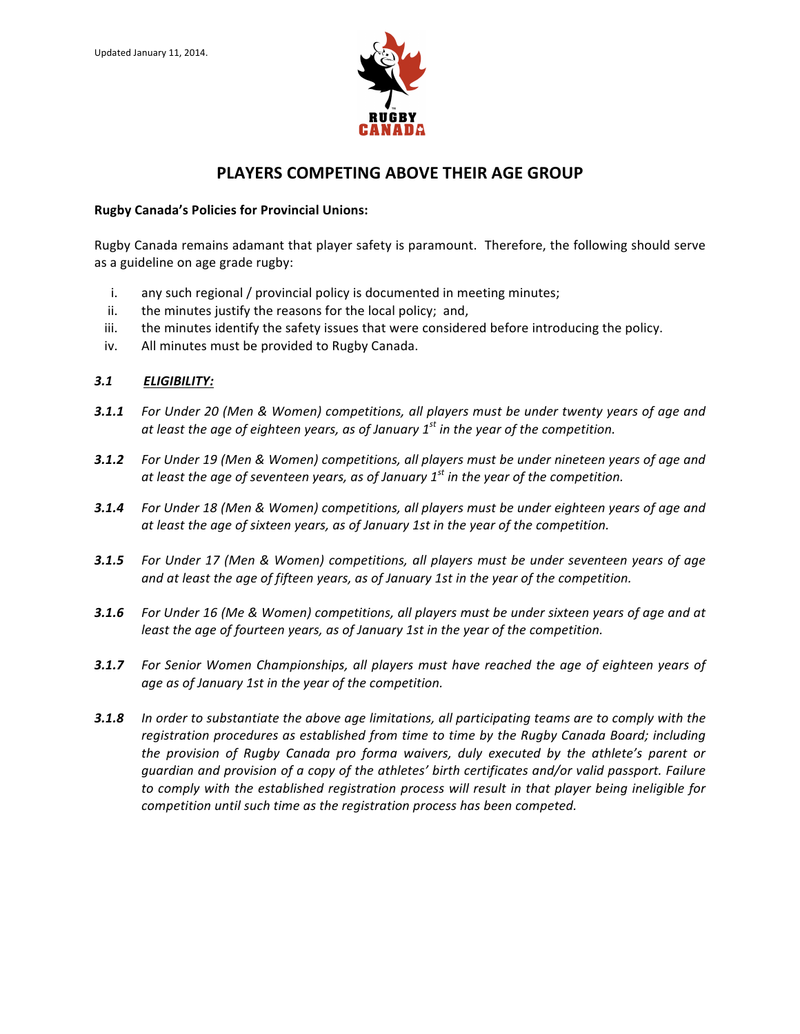

# **PLAYERS COMPETING ABOVE THEIR AGE GROUP**

#### **Rugby Canada's Policies for Provincial Unions:**

Rugby Canada remains adamant that player safety is paramount. Therefore, the following should serve as a guideline on age grade rugby:

- i. any such regional / provincial policy is documented in meeting minutes;
- ii. the minutes justify the reasons for the local policy; and,
- iii. the minutes identify the safety issues that were considered before introducing the policy.
- iv. All minutes must be provided to Rugby Canada.

### *3.1 ELIGIBILITY:*

- **3.1.1** For Under 20 (Men & Women) competitions, all players must be under twenty years of age and at least the age of eighteen years, as of January 1<sup>st</sup> in the year of the competition.
- **3.1.2** For Under 19 (Men & Women) competitions, all players must be under nineteen years of age and at least the age of seventeen years, as of January 1<sup>st</sup> in the year of the competition.
- **3.1.4** For Under 18 (Men & Women) competitions, all players must be under eighteen years of age and at least the age of sixteen years, as of January 1st in the year of the competition.
- **3.1.5** For Under 17 (Men & Women) competitions, all players must be under seventeen years of age and at least the age of fifteen years, as of January 1st in the year of the competition.
- **3.1.6** For Under 16 (Me & Women) competitions, all players must be under sixteen years of age and at *least the age of fourteen years, as of January 1st in the year of the competition.*
- **3.1.7** For Senior Women Championships, all players must have reached the age of eighteen years of age as of January 1st in the year of the competition.
- **3.1.8** In order to substantiate the above age limitations, all participating teams are to comply with the registration procedures as established from time to time by the Rugby Canada Board; including the provision of Rugby Canada pro forma waivers, duly executed by the athlete's parent or guardian and provision of a copy of the athletes' birth certificates and/or valid passport. Failure to comply with the established registration process will result in that player being ineligible for *competition until such time as the registration process has been competed.*